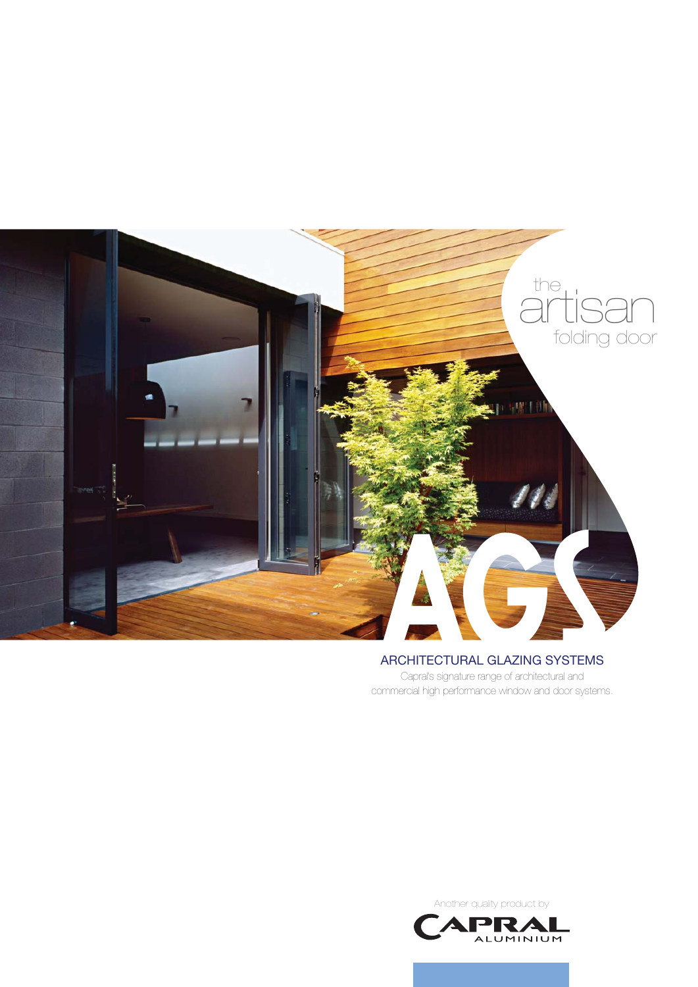

# ARCHITECTURAL GLAZING SYSTEMS

Capral's signature range of architectural and commercial high performance window and door systems.

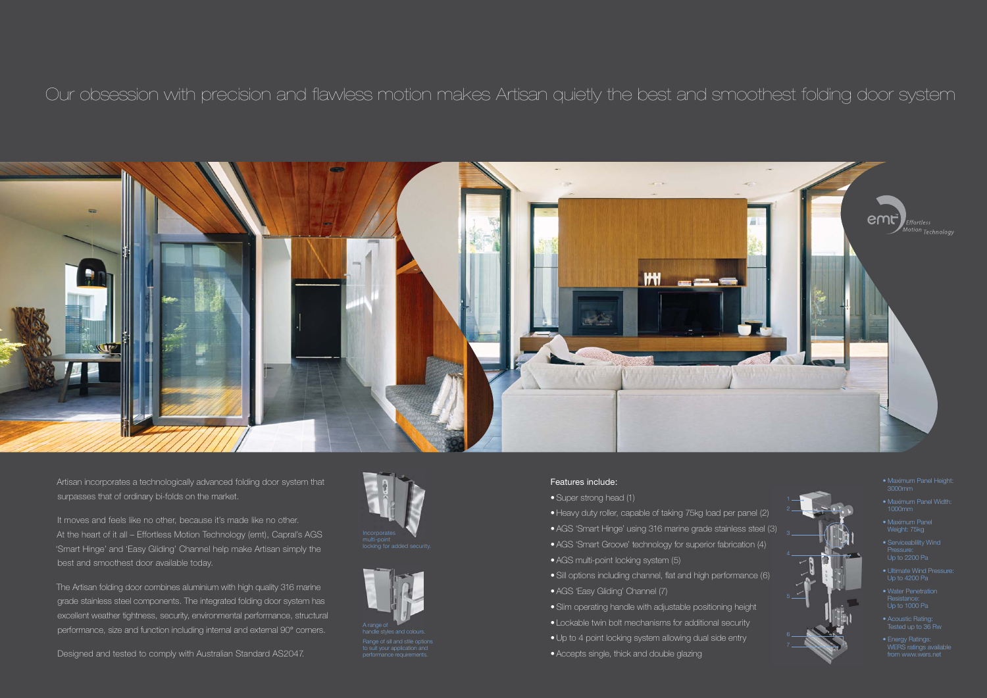# Our obsession with precision and flawless motion makes Artisan quietly the best and smoothest folding door system



Artisan incorporates a technologically advanced folding door system that surpasses that of ordinary bi-folds on the market.

It moves and feels like no other, because it's made like no other. At the heart of it all – Effortless Motion Technology (emt), Capral's AGS 'Smart Hinge' and 'Easy Gliding' Channel help make Artisan simply the best and smoothest door available today.

The Artisan folding door combines aluminium with high quality 316 marine grade stainless steel components. The integrated folding door system has excellent weather tightness, security, environmental performance, structural performance, size and function including internal and external 90° corners.

tyles and colours Range of sill and stile options

Designed and tested to comply with Australian Standard AS2047.







# Features include:

- Super strong head (1)
- Heavy duty roller, capable of taking 75kg load per panel (2) • Super strong head (1)<br>• Heavy duty roller, capable of taking 75kg load per panel (2) <sup>2</sup><br>• AGS 'Smart Hinge' using 316 marine grade stainless steel (3)
- 
- AGS 'Smart Groove' technology for superior fabrication (4)
- AGS multi-point locking system (5)
- Sill options including channel, flat and high performance (6)
- AGS 'Easy Gliding' Channel (7)
- Slim operating handle with adjustable positioning height
- Lockable twin bolt mechanisms for additional security
- Up to 4 point locking system allowing dual side entry
- Accepts single, thick and double glazing
- 
- 
- 



- Maximum Panel Height: 3000mm
- 1000mm
- Maximum Panel Weight: 75kg
- Serviceablility Wind Pressure: Up to 2200 Pa
- Up to 4200 Pa
- Resistance: Up to 1000 Pa
- Acoustic Rating: Tested up to 36 Rw
- Energy Ratings: WERS ratings available from www.wers.net